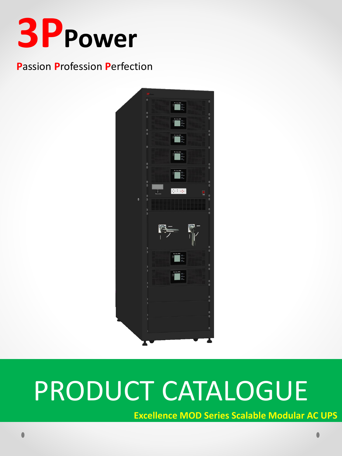

## **Passion Profession Perfection**



# PRODUCT CATALOGUE

**Excellence MOD Series Scalable Modular AC UPS**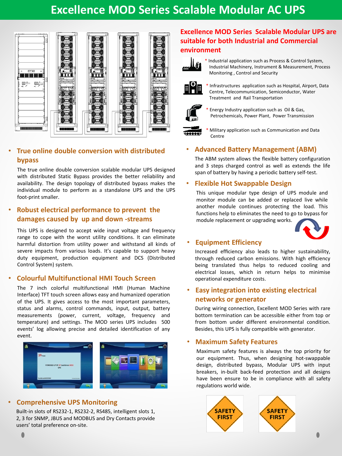## **Excellence MOD Series Scalable Modular AC UPS**



#### • **True online double conversion with distributed bypass**

The true online double conversion scalable modular UPS designed with distributed Static Bypass provides the better reliability and availability. The design topology of distributed bypass makes the individual module to perform as a standalone UPS and the UPS foot-print smaller.

#### • **Robust electrical performance to prevent the damages caused by up and down -streams**

This UPS is designed to accept wide input voltage and frequency range to cope with the worst utility conditions. It can eliminate harmful distortion from utility power and withstand all kinds of severe impacts from various loads. It's capable to support heavy duty equipment, production equipment and DCS (Distributed Control System) system.

#### • **Colourful Multifunctional HMI Touch Screen**

The 7 inch colorful multifunctional HMI (Human Machine Interface) TFT touch screen allows easy and humanized operation of the UPS. It gives access to the most important parameters, status and alarms, control commands, input, output, battery measurements (power, current, voltage, frequency and temperature) and settings. The MOD series UPS includes 500 events' log allowing precise and detailed identification of any event.



#### • **Comprehensive UPS Monitoring**

Built-in slots of RS232-1, RS232-2, RS485, intelligent slots 1, 2, 3 for SNMP, JBUS and MODBUS and Dry Contacts provide users' total preference on-site.

## **Excellence MOD Series Scalable Modular UPS are suitable for both Industrial and Commercial environment**



\* Industrial application such as Process & Control System, Industrial Machinery, Instrument & Measurement, Process Monitoring , Control and Security



\* Infrastructures application such as Hospital, Airport, Data Centre, Telecommunication, Semiconductor, Water Treatment and Rail Transportation



Energy Industry application such as Oil & Gas, Petrochemicals, Power Plant, Power Transmission



Military application such as Communication and Data Centre

#### • **Advanced Battery Management (ABM)**

The ABM system allows the flexible battery configuration and 3 steps charged control as well as extends the life span of battery by having a periodic battery self-test.

#### • **Flexible Hot Swappable Design**

This unique modular type design of UPS module and monitor module can be added or replaced live while another module continues protecting the load. This functions help to eliminates the need to go to bypass for module replacement or upgrading works.



#### • **Equipment Efficiency**

Increased efficiency also leads to higher sustainability, through reduced carbon emissions. With high efficiency being translated thus helps to reduced cooling and electrical losses, which in return helps to minimise operational expenditure costs.

#### • **Easy integration into existing electrical networks or generator**

During wiring connection, Excellent MOD Series with rare bottom termination can be accessible either from top or from bottom under different environmental condition. Besides, this UPS is fully compatible with generator.

#### • **Maximum Safety Features**

Maximum safety features is always the top priority for our equipment. Thus, when designing hot-swappable design, distributed bypass, Modular UPS with input breakers, in-built back-feed protection and all designs have been ensure to be in compliance with all safety regulations world wide.

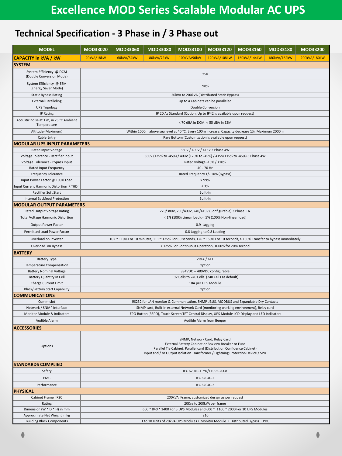## **Technical Specification - 3 Phase in / 3 Phase out**

| <b>MODEL</b>                                                  | MOD33020                                                                                                                                                                                                                                          | MOD33060   | MOD33080   | MOD33100    | MOD33120                                 | MOD33160     | MOD33180     | MOD33200     |  |  |  |
|---------------------------------------------------------------|---------------------------------------------------------------------------------------------------------------------------------------------------------------------------------------------------------------------------------------------------|------------|------------|-------------|------------------------------------------|--------------|--------------|--------------|--|--|--|
| <b>CAPACITY in kVA / kW</b>                                   | 20kVA/18kW                                                                                                                                                                                                                                        | 60kVA/54kW | 80kVA/72kW | 100kVA/90kW | 120kVA/108kW                             | 160kVA/144kW | 180kVA/162kW | 200kVA/180kW |  |  |  |
| <b>SYSTEM</b>                                                 |                                                                                                                                                                                                                                                   |            |            |             |                                          |              |              |              |  |  |  |
| System Efficiency @ DCM<br>(Double Conversion Mode)           | 95%                                                                                                                                                                                                                                               |            |            |             |                                          |              |              |              |  |  |  |
| System Efficiency @ ESM<br>(Energy Saver Mode)                | 98%                                                                                                                                                                                                                                               |            |            |             |                                          |              |              |              |  |  |  |
| <b>Static Bypass Rating</b>                                   | 20kVA to 200kVA (Distributed Static Bypass)                                                                                                                                                                                                       |            |            |             |                                          |              |              |              |  |  |  |
| <b>External Paralleling</b>                                   | Up to 4 Cabinets can be paralleled                                                                                                                                                                                                                |            |            |             |                                          |              |              |              |  |  |  |
| <b>UPS Topology</b>                                           |                                                                                                                                                                                                                                                   |            |            |             | <b>Double Conversion</b>                 |              |              |              |  |  |  |
| <b>IP Rating</b>                                              | IP 20 As Standard (Option: Up to IP42 is available upon request)                                                                                                                                                                                  |            |            |             |                                          |              |              |              |  |  |  |
| Acoustic noise at 1 m, in 25 °C Ambient<br>Temperature        | < 70 dBA in DCM, < 55 dBA in ESM                                                                                                                                                                                                                  |            |            |             |                                          |              |              |              |  |  |  |
| Altitude (Maximum)                                            | Within 1000m above sea level at 40 °C, Every 100m increase, Capacity decrease 1%, Maximum 2000m                                                                                                                                                   |            |            |             |                                          |              |              |              |  |  |  |
| Cable Entry                                                   | Rare Bottom (Customization is available upon request)                                                                                                                                                                                             |            |            |             |                                          |              |              |              |  |  |  |
|                                                               | <b>MODULAR UPS INPUT PARAMETERS</b>                                                                                                                                                                                                               |            |            |             |                                          |              |              |              |  |  |  |
| Rated Input Voltage                                           |                                                                                                                                                                                                                                                   |            |            |             | 380V / 400V / 415V 3 Phase 4W            |              |              |              |  |  |  |
| Voltage Tolerance - Rectifier Input                           | 380V (+25% to -45%) / 400V (+20% to -45%) / 415V(+15% to -45%) 3 Phase 4W                                                                                                                                                                         |            |            |             |                                          |              |              |              |  |  |  |
| Voltage Tolerance - Bypass Input                              |                                                                                                                                                                                                                                                   |            |            |             | Rated voltage -15% / +10%                |              |              |              |  |  |  |
| Rated Input Frequency                                         |                                                                                                                                                                                                                                                   |            |            |             | 40 - 70 Hz                               |              |              |              |  |  |  |
| <b>Frequency Tolerance</b><br>Input Power Factor @ 100% Load  |                                                                                                                                                                                                                                                   |            |            |             | Rated Frequency +/- 10% (Bypass)<br>>99% |              |              |              |  |  |  |
|                                                               |                                                                                                                                                                                                                                                   |            |            |             |                                          |              |              |              |  |  |  |
| Input Current Harmonic Distortion (THDi)                      |                                                                                                                                                                                                                                                   |            |            |             | < 3%                                     |              |              |              |  |  |  |
| Rectifier Soft Start<br><b>Internal Backfeed Protection</b>   |                                                                                                                                                                                                                                                   |            |            |             | Built-in<br>Built-in                     |              |              |              |  |  |  |
| <b>MODULAR OUTPUT PARAMETERS</b>                              |                                                                                                                                                                                                                                                   |            |            |             |                                          |              |              |              |  |  |  |
| Rated Output Voltage Rating                                   | 220/380V, 230/400V, 240/415V (Configurable) 3 Phase + N                                                                                                                                                                                           |            |            |             |                                          |              |              |              |  |  |  |
| <b>Total Voltage Harmonic Distortion</b>                      |                                                                                                                                                                                                                                                   |            |            |             |                                          |              |              |              |  |  |  |
|                                                               | < 1% (100% Linear load); < 5% (100% Non-linear load)                                                                                                                                                                                              |            |            |             |                                          |              |              |              |  |  |  |
| Output Power Factor                                           | 0.9 Lagging                                                                                                                                                                                                                                       |            |            |             |                                          |              |              |              |  |  |  |
| Permitted Load Power Factor                                   | 0.8 Lagging to 0.8 Leading                                                                                                                                                                                                                        |            |            |             |                                          |              |              |              |  |  |  |
| Overload on Inverter                                          | 102 ~ 110% For 10 minutes, 111 ~ 125% For 60 seconds, 126 ~ 150% For 10 seconds, > 150% Transfer to bypass immediately                                                                                                                            |            |            |             |                                          |              |              |              |  |  |  |
| Overload on Bypass                                            | < 125% For Continuous Operation, 1000% for 20m second                                                                                                                                                                                             |            |            |             |                                          |              |              |              |  |  |  |
| <b>BATTERY</b>                                                |                                                                                                                                                                                                                                                   |            |            |             |                                          |              |              |              |  |  |  |
| <b>Battery Type</b>                                           | VRLA / GEL                                                                                                                                                                                                                                        |            |            |             |                                          |              |              |              |  |  |  |
| Temperature Compensation                                      | Option                                                                                                                                                                                                                                            |            |            |             |                                          |              |              |              |  |  |  |
| <b>Battery Nominal Voltage</b>                                | 384VDC -- 480VDC configurable                                                                                                                                                                                                                     |            |            |             |                                          |              |              |              |  |  |  |
| <b>Battery Quantity in Cell</b>                               | 192 Cells to 240 Cells (240 Cells as default)                                                                                                                                                                                                     |            |            |             |                                          |              |              |              |  |  |  |
| Charge Current Limit<br><b>Black/Battery Start Capability</b> | 10A per UPS Module<br>Option                                                                                                                                                                                                                      |            |            |             |                                          |              |              |              |  |  |  |
| <b>COMMUNICATIONS</b>                                         |                                                                                                                                                                                                                                                   |            |            |             |                                          |              |              |              |  |  |  |
| Comm-slot                                                     | RS232 for LAN monitor & Communication, SNMP, JBUS, MODBUS and Expandable Dry Contacts                                                                                                                                                             |            |            |             |                                          |              |              |              |  |  |  |
| Network / SNMP Interface                                      | SNMP card, Built-in external Network Card (monitoring working environment), Relay card                                                                                                                                                            |            |            |             |                                          |              |              |              |  |  |  |
| Monitor Module & Indicators                                   | EPO Button (REPO), Touch Screen TFT Central Display, UPS Module LCD Display and LED Indicators                                                                                                                                                    |            |            |             |                                          |              |              |              |  |  |  |
| Audible Alarm                                                 | Audible Alarm from Beeper                                                                                                                                                                                                                         |            |            |             |                                          |              |              |              |  |  |  |
| <b>ACCESSORIES</b>                                            |                                                                                                                                                                                                                                                   |            |            |             |                                          |              |              |              |  |  |  |
| Options                                                       | SNMP, Network Card, Relay Card<br>External Battery Cabinet or Box c/w Breaker or Fuse<br>Parallel Tie Cabinet, Parallel card (Distribution Confluence Cabinet)<br>Input and / or Output Isolation Transformer / Lightning Protection Device / SPD |            |            |             |                                          |              |              |              |  |  |  |
| <b>STANDARDS COMPLIED</b>                                     |                                                                                                                                                                                                                                                   |            |            |             |                                          |              |              |              |  |  |  |
| Safety                                                        | IEC 62040-1 YD/T1095-2008                                                                                                                                                                                                                         |            |            |             |                                          |              |              |              |  |  |  |
| <b>EMC</b>                                                    | IEC 62040-2                                                                                                                                                                                                                                       |            |            |             |                                          |              |              |              |  |  |  |
| Performance                                                   | IEC 62040-3                                                                                                                                                                                                                                       |            |            |             |                                          |              |              |              |  |  |  |
| <b>PHYSICAL</b>                                               |                                                                                                                                                                                                                                                   |            |            |             |                                          |              |              |              |  |  |  |
| Cabinet Frame IP20                                            | 200kVA Frame, customized design as per request                                                                                                                                                                                                    |            |            |             |                                          |              |              |              |  |  |  |
| Rating                                                        | 20Kva to 200kVA per frame                                                                                                                                                                                                                         |            |            |             |                                          |              |              |              |  |  |  |
| Dimension (W * D * H) in mm                                   | 600 * 840 * 1400 For 5 UPS Modules and 600 * 1100 * 2000 For 10 UPS Modules                                                                                                                                                                       |            |            |             |                                          |              |              |              |  |  |  |
| Approximate Net Weight in kg                                  | 210                                                                                                                                                                                                                                               |            |            |             |                                          |              |              |              |  |  |  |
| <b>Building Block Components</b>                              | 1 to 10 Units of 20kVA UPS Modules + Monitor Module + Distributed Bypass + PDU                                                                                                                                                                    |            |            |             |                                          |              |              |              |  |  |  |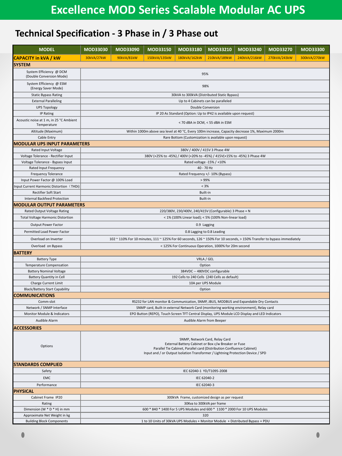## **Technical Specification - 3 Phase in / 3 Phase out**

| <b>MODEL</b>                                           | MOD33030                                                                                                                                                                                                                                          | MOD33090                                                                    | MOD33150     | MOD33180                                                | MOD33210                         | MOD33240     | MOD33270     | MOD33300     |  |  |  |
|--------------------------------------------------------|---------------------------------------------------------------------------------------------------------------------------------------------------------------------------------------------------------------------------------------------------|-----------------------------------------------------------------------------|--------------|---------------------------------------------------------|----------------------------------|--------------|--------------|--------------|--|--|--|
| <b>CAPACITY in kVA / kW</b>                            | 30kVA/27kW                                                                                                                                                                                                                                        | 90kVA/81kW                                                                  | 150kVA/135kW | 180kVA/162kW                                            | 210kVA/189kW                     | 240kVA/216kW | 270kVA/243kW | 300kVA/270kW |  |  |  |
| <b>SYSTEM</b>                                          |                                                                                                                                                                                                                                                   |                                                                             |              |                                                         |                                  |              |              |              |  |  |  |
| System Efficiency @ DCM<br>(Double Conversion Mode)    | 95%                                                                                                                                                                                                                                               |                                                                             |              |                                                         |                                  |              |              |              |  |  |  |
| System Efficiency @ ESM<br>(Energy Saver Mode)         | 98%                                                                                                                                                                                                                                               |                                                                             |              |                                                         |                                  |              |              |              |  |  |  |
| <b>Static Bypass Rating</b>                            | 30kVA to 300kVA (Distributed Static Bypass)                                                                                                                                                                                                       |                                                                             |              |                                                         |                                  |              |              |              |  |  |  |
| <b>External Paralleling</b>                            |                                                                                                                                                                                                                                                   | Up to 4 Cabinets can be paralleled                                          |              |                                                         |                                  |              |              |              |  |  |  |
| <b>UPS Topology</b>                                    |                                                                                                                                                                                                                                                   |                                                                             |              |                                                         | <b>Double Conversion</b>         |              |              |              |  |  |  |
| <b>IP Rating</b>                                       | IP 20 As Standard (Option: Up to IP42 is available upon request)                                                                                                                                                                                  |                                                                             |              |                                                         |                                  |              |              |              |  |  |  |
| Acoustic noise at 1 m, in 25 °C Ambient<br>Temperature | < 70 dBA in DCM, < 55 dBA in ESM                                                                                                                                                                                                                  |                                                                             |              |                                                         |                                  |              |              |              |  |  |  |
| Altitude (Maximum)                                     | Within 1000m above sea level at 40 °C, Every 100m increase, Capacity decrease 1%, Maximum 2000m                                                                                                                                                   |                                                                             |              |                                                         |                                  |              |              |              |  |  |  |
| Cable Entry                                            |                                                                                                                                                                                                                                                   | Rare Bottom (Customization is available upon request)                       |              |                                                         |                                  |              |              |              |  |  |  |
| <b>MODULAR UPS INPUT PARAMETERS</b>                    |                                                                                                                                                                                                                                                   |                                                                             |              |                                                         |                                  |              |              |              |  |  |  |
| Rated Input Voltage                                    |                                                                                                                                                                                                                                                   |                                                                             |              |                                                         | 380V / 400V / 415V 3 Phase 4W    |              |              |              |  |  |  |
| Voltage Tolerance - Rectifier Input                    | 380V (+25% to -45%) / 400V (+20% to -45%) / 415V(+15% to -45%) 3 Phase 4W                                                                                                                                                                         |                                                                             |              |                                                         |                                  |              |              |              |  |  |  |
| Voltage Tolerance - Bypass Input                       |                                                                                                                                                                                                                                                   |                                                                             |              |                                                         | Rated voltage -15% / +10%        |              |              |              |  |  |  |
| Rated Input Frequency                                  |                                                                                                                                                                                                                                                   |                                                                             |              |                                                         | 40 - 70 Hz                       |              |              |              |  |  |  |
| <b>Frequency Tolerance</b>                             |                                                                                                                                                                                                                                                   |                                                                             |              |                                                         | Rated Frequency +/- 10% (Bypass) |              |              |              |  |  |  |
| Input Power Factor @ 100% Load                         |                                                                                                                                                                                                                                                   |                                                                             |              |                                                         | >99%                             |              |              |              |  |  |  |
| Input Current Harmonic Distortion (THDi)               |                                                                                                                                                                                                                                                   |                                                                             |              |                                                         | < 3%                             |              |              |              |  |  |  |
| <b>Rectifier Soft Start</b>                            |                                                                                                                                                                                                                                                   |                                                                             |              |                                                         | Built-in                         |              |              |              |  |  |  |
| <b>Internal Backfeed Protection</b>                    |                                                                                                                                                                                                                                                   |                                                                             |              |                                                         | Built-in                         |              |              |              |  |  |  |
| <b>MODULAR OUTPUT PARAMETERS</b>                       |                                                                                                                                                                                                                                                   |                                                                             |              |                                                         |                                  |              |              |              |  |  |  |
| Rated Output Voltage Rating                            |                                                                                                                                                                                                                                                   |                                                                             |              | 220/380V, 230/400V, 240/415V (Configurable) 3 Phase + N |                                  |              |              |              |  |  |  |
| <b>Total Voltage Harmonic Distortion</b>               |                                                                                                                                                                                                                                                   |                                                                             |              | < 1% (100% Linear load); < 5% (100% Non-linear load)    |                                  |              |              |              |  |  |  |
| Output Power Factor                                    |                                                                                                                                                                                                                                                   |                                                                             |              |                                                         | 0.9 Lagging                      |              |              |              |  |  |  |
| Permitted Load Power Factor                            | 0.8 Lagging to 0.8 Leading                                                                                                                                                                                                                        |                                                                             |              |                                                         |                                  |              |              |              |  |  |  |
| Overload on Inverter                                   | 102 ~ 110% For 10 minutes, 111 ~ 125% For 60 seconds, 126 ~ 150% For 10 seconds, > 150% Transfer to bypass immediately                                                                                                                            |                                                                             |              |                                                         |                                  |              |              |              |  |  |  |
| Overload on Bypass                                     |                                                                                                                                                                                                                                                   |                                                                             |              | < 125% For Continuous Operation, 1000% for 20m second   |                                  |              |              |              |  |  |  |
| <b>BATTERY</b>                                         |                                                                                                                                                                                                                                                   |                                                                             |              |                                                         |                                  |              |              |              |  |  |  |
| <b>Battery Type</b>                                    |                                                                                                                                                                                                                                                   |                                                                             |              |                                                         | VRLA / GEL                       |              |              |              |  |  |  |
| Temperature Compensation                               | Option                                                                                                                                                                                                                                            |                                                                             |              |                                                         |                                  |              |              |              |  |  |  |
| <b>Battery Nominal Voltage</b>                         | 384VDC -- 480VDC configurable                                                                                                                                                                                                                     |                                                                             |              |                                                         |                                  |              |              |              |  |  |  |
| <b>Battery Quantity in Cell</b>                        | 192 Cells to 240 Cells (240 Cells as default)                                                                                                                                                                                                     |                                                                             |              |                                                         |                                  |              |              |              |  |  |  |
| Charge Current Limit                                   | 10A per UPS Module                                                                                                                                                                                                                                |                                                                             |              |                                                         |                                  |              |              |              |  |  |  |
| <b>Black/Battery Start Capability</b><br>Option        |                                                                                                                                                                                                                                                   |                                                                             |              |                                                         |                                  |              |              |              |  |  |  |
| <b>COMMUNICATIONS</b>                                  |                                                                                                                                                                                                                                                   |                                                                             |              |                                                         |                                  |              |              |              |  |  |  |
| Comm-slot                                              | RS232 for LAN monitor & Communication, SNMP, JBUS, MODBUS and Expandable Dry Contacts                                                                                                                                                             |                                                                             |              |                                                         |                                  |              |              |              |  |  |  |
| Network / SNMP Interface                               | SNMP card, Built-in external Network Card (monitoring working environment), Relay card                                                                                                                                                            |                                                                             |              |                                                         |                                  |              |              |              |  |  |  |
| Monitor Module & Indicators                            | EPO Button (REPO), Touch Screen TFT Central Display, UPS Module LCD Display and LED Indicators<br>Audible Alarm from Beeper                                                                                                                       |                                                                             |              |                                                         |                                  |              |              |              |  |  |  |
| Audible Alarm                                          |                                                                                                                                                                                                                                                   |                                                                             |              |                                                         |                                  |              |              |              |  |  |  |
| <b>ACCESSORIES</b>                                     |                                                                                                                                                                                                                                                   |                                                                             |              |                                                         |                                  |              |              |              |  |  |  |
| Options                                                | SNMP, Network Card, Relay Card<br>External Battery Cabinet or Box c/w Breaker or Fuse<br>Parallel Tie Cabinet, Parallel card (Distribution Confluence Cabinet)<br>Input and / or Output Isolation Transformer / Lightning Protection Device / SPD |                                                                             |              |                                                         |                                  |              |              |              |  |  |  |
| <b>STANDARDS COMPLIED</b>                              |                                                                                                                                                                                                                                                   |                                                                             |              |                                                         |                                  |              |              |              |  |  |  |
| Safety                                                 | IEC 62040-1 YD/T1095-2008                                                                                                                                                                                                                         |                                                                             |              |                                                         |                                  |              |              |              |  |  |  |
| <b>EMC</b>                                             | IEC 62040-2                                                                                                                                                                                                                                       |                                                                             |              |                                                         |                                  |              |              |              |  |  |  |
| Performance                                            | IEC 62040-3                                                                                                                                                                                                                                       |                                                                             |              |                                                         |                                  |              |              |              |  |  |  |
| <b>PHYSICAL</b>                                        |                                                                                                                                                                                                                                                   |                                                                             |              |                                                         |                                  |              |              |              |  |  |  |
| Cabinet Frame IP20                                     |                                                                                                                                                                                                                                                   |                                                                             |              | 300kVA Frame, customized design as per request          |                                  |              |              |              |  |  |  |
| Rating                                                 | 30Kva to 300kVA per frame                                                                                                                                                                                                                         |                                                                             |              |                                                         |                                  |              |              |              |  |  |  |
| Dimension (W * D * H) in mm                            |                                                                                                                                                                                                                                                   | 600 * 840 * 1400 For 5 UPS Modules and 600 * 1100 * 2000 For 10 UPS Modules |              |                                                         |                                  |              |              |              |  |  |  |
| Approximate Net Weight in kg                           | 320                                                                                                                                                                                                                                               |                                                                             |              |                                                         |                                  |              |              |              |  |  |  |
| <b>Building Block Components</b>                       | 1 to 10 Units of 30kVA UPS Modules + Monitor Module + Distributed Bypass + PDU                                                                                                                                                                    |                                                                             |              |                                                         |                                  |              |              |              |  |  |  |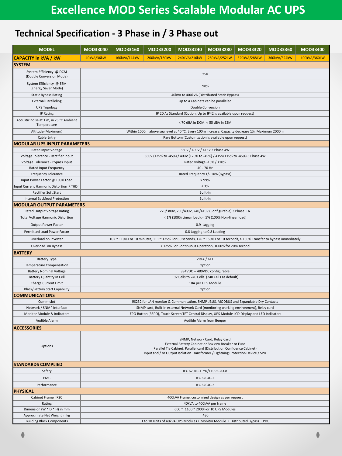## **Technical Specification - 3 Phase in / 3 Phase out**

| <b>MODEL</b>                                            | MOD33040                                                                                                                                                                                                                                          | MOD33160                                                                  | MOD33200     | MOD33240                                              | <b>MOD33280</b>                  | MOD33320     | MOD33360     | MOD33400     |  |  |
|---------------------------------------------------------|---------------------------------------------------------------------------------------------------------------------------------------------------------------------------------------------------------------------------------------------------|---------------------------------------------------------------------------|--------------|-------------------------------------------------------|----------------------------------|--------------|--------------|--------------|--|--|
| <b>CAPACITY in kVA / kW</b>                             | 40kVA/36kW                                                                                                                                                                                                                                        | 160kVA/144kW                                                              | 200kVA/180kW | 240kVA/216kW                                          | 280kVA/252kW                     | 320kVA/288kW | 360kVA/324kW | 400kVA/360kW |  |  |
| <b>SYSTEM</b>                                           |                                                                                                                                                                                                                                                   |                                                                           |              |                                                       |                                  |              |              |              |  |  |
| System Efficiency @ DCM<br>(Double Conversion Mode)     | 95%                                                                                                                                                                                                                                               |                                                                           |              |                                                       |                                  |              |              |              |  |  |
| System Efficiency @ ESM<br>(Energy Saver Mode)          | 98%                                                                                                                                                                                                                                               |                                                                           |              |                                                       |                                  |              |              |              |  |  |
| <b>Static Bypass Rating</b>                             | 40kVA to 400kVA (Distributed Static Bypass)                                                                                                                                                                                                       |                                                                           |              |                                                       |                                  |              |              |              |  |  |
| <b>External Paralleling</b>                             | Up to 4 Cabinets can be paralleled                                                                                                                                                                                                                |                                                                           |              |                                                       |                                  |              |              |              |  |  |
| <b>UPS Topology</b>                                     |                                                                                                                                                                                                                                                   |                                                                           |              |                                                       | <b>Double Conversion</b>         |              |              |              |  |  |
| <b>IP Rating</b>                                        | IP 20 As Standard (Option: Up to IP42 is available upon request)                                                                                                                                                                                  |                                                                           |              |                                                       |                                  |              |              |              |  |  |
| Acoustic noise at 1 m, in 25 °C Ambient<br>Temperature  | < 70 dBA in DCM, < 55 dBA in ESM                                                                                                                                                                                                                  |                                                                           |              |                                                       |                                  |              |              |              |  |  |
| Altitude (Maximum)                                      | Within 1000m above sea level at 40 °C, Every 100m increase, Capacity decrease 1%, Maximum 2000m                                                                                                                                                   |                                                                           |              |                                                       |                                  |              |              |              |  |  |
| Cable Entry                                             |                                                                                                                                                                                                                                                   | Rare Bottom (Customization is available upon request)                     |              |                                                       |                                  |              |              |              |  |  |
| <b>MODULAR UPS INPUT PARAMETERS</b>                     |                                                                                                                                                                                                                                                   |                                                                           |              |                                                       |                                  |              |              |              |  |  |
| Rated Input Voltage                                     |                                                                                                                                                                                                                                                   |                                                                           |              |                                                       | 380V / 400V / 415V 3 Phase 4W    |              |              |              |  |  |
| Voltage Tolerance - Rectifier Input                     |                                                                                                                                                                                                                                                   | 380V (+25% to -45%) / 400V (+20% to -45%) / 415V(+15% to -45%) 3 Phase 4W |              |                                                       |                                  |              |              |              |  |  |
| Voltage Tolerance - Bypass Input                        |                                                                                                                                                                                                                                                   |                                                                           |              |                                                       | Rated voltage -15% / +10%        |              |              |              |  |  |
| Rated Input Frequency                                   |                                                                                                                                                                                                                                                   |                                                                           |              |                                                       | 40 - 70 Hz                       |              |              |              |  |  |
| <b>Frequency Tolerance</b>                              |                                                                                                                                                                                                                                                   |                                                                           |              |                                                       | Rated Frequency +/- 10% (Bypass) |              |              |              |  |  |
| Input Power Factor @ 100% Load                          |                                                                                                                                                                                                                                                   |                                                                           |              |                                                       | >99%                             |              |              |              |  |  |
| Input Current Harmonic Distortion (THDi)                |                                                                                                                                                                                                                                                   |                                                                           |              |                                                       | < 3%                             |              |              |              |  |  |
| Rectifier Soft Start                                    |                                                                                                                                                                                                                                                   |                                                                           |              |                                                       | Built-in                         |              |              |              |  |  |
| <b>Internal Backfeed Protection</b>                     |                                                                                                                                                                                                                                                   |                                                                           |              |                                                       | Built-in                         |              |              |              |  |  |
| <b>MODULAR OUTPUT PARAMETERS</b>                        |                                                                                                                                                                                                                                                   |                                                                           |              |                                                       |                                  |              |              |              |  |  |
| Rated Output Voltage Rating                             | 220/380V, 230/400V, 240/415V (Configurable) 3 Phase + N                                                                                                                                                                                           |                                                                           |              |                                                       |                                  |              |              |              |  |  |
| <b>Total Voltage Harmonic Distortion</b>                |                                                                                                                                                                                                                                                   |                                                                           |              | < 1% (100% Linear load); < 5% (100% Non-linear load)  |                                  |              |              |              |  |  |
| Output Power Factor                                     |                                                                                                                                                                                                                                                   |                                                                           |              |                                                       | 0.9 Lagging                      |              |              |              |  |  |
| Permitted Load Power Factor                             | 0.8 Lagging to 0.8 Leading                                                                                                                                                                                                                        |                                                                           |              |                                                       |                                  |              |              |              |  |  |
| Overload on Inverter                                    | 102 ~ 110% For 10 minutes, 111 ~ 125% For 60 seconds, 126 ~ 150% For 10 seconds, > 150% Transfer to bypass immediately                                                                                                                            |                                                                           |              |                                                       |                                  |              |              |              |  |  |
| Overload on Bypass                                      |                                                                                                                                                                                                                                                   |                                                                           |              | < 125% For Continuous Operation, 1000% for 20m second |                                  |              |              |              |  |  |
| <b>BATTERY</b>                                          |                                                                                                                                                                                                                                                   |                                                                           |              |                                                       |                                  |              |              |              |  |  |
| <b>Battery Type</b>                                     |                                                                                                                                                                                                                                                   |                                                                           |              |                                                       | VRLA / GEL                       |              |              |              |  |  |
| Temperature Compensation                                | Option                                                                                                                                                                                                                                            |                                                                           |              |                                                       |                                  |              |              |              |  |  |
| <b>Battery Nominal Voltage</b>                          | 384VDC -- 480VDC configurable                                                                                                                                                                                                                     |                                                                           |              |                                                       |                                  |              |              |              |  |  |
| <b>Battery Quantity in Cell</b>                         | 192 Cells to 240 Cells (240 Cells as default)                                                                                                                                                                                                     |                                                                           |              |                                                       |                                  |              |              |              |  |  |
| Charge Current Limit                                    | 10A per UPS Module                                                                                                                                                                                                                                |                                                                           |              |                                                       |                                  |              |              |              |  |  |
| <b>Black/Battery Start Capability</b><br>Option         |                                                                                                                                                                                                                                                   |                                                                           |              |                                                       |                                  |              |              |              |  |  |
| <b>COMMUNICATIONS</b>                                   |                                                                                                                                                                                                                                                   |                                                                           |              |                                                       |                                  |              |              |              |  |  |
| Comm-slot                                               | RS232 for LAN monitor & Communication, SNMP, JBUS, MODBUS and Expandable Dry Contacts                                                                                                                                                             |                                                                           |              |                                                       |                                  |              |              |              |  |  |
| Network / SNMP Interface<br>Monitor Module & Indicators | SNMP card, Built-in external Network Card (monitoring working environment), Relay card                                                                                                                                                            |                                                                           |              |                                                       |                                  |              |              |              |  |  |
|                                                         | EPO Button (REPO), Touch Screen TFT Central Display, UPS Module LCD Display and LED Indicators<br>Audible Alarm from Beeper                                                                                                                       |                                                                           |              |                                                       |                                  |              |              |              |  |  |
| Audible Alarm                                           |                                                                                                                                                                                                                                                   |                                                                           |              |                                                       |                                  |              |              |              |  |  |
| <b>ACCESSORIES</b>                                      |                                                                                                                                                                                                                                                   |                                                                           |              |                                                       |                                  |              |              |              |  |  |
| Options                                                 | SNMP, Network Card, Relay Card<br>External Battery Cabinet or Box c/w Breaker or Fuse<br>Parallel Tie Cabinet, Parallel card (Distribution Confluence Cabinet)<br>Input and / or Output Isolation Transformer / Lightning Protection Device / SPD |                                                                           |              |                                                       |                                  |              |              |              |  |  |
| <b>STANDARDS COMPLIED</b>                               |                                                                                                                                                                                                                                                   |                                                                           |              |                                                       |                                  |              |              |              |  |  |
| Safety                                                  | IEC 62040-1 YD/T1095-2008                                                                                                                                                                                                                         |                                                                           |              |                                                       |                                  |              |              |              |  |  |
| <b>EMC</b>                                              | IEC 62040-2                                                                                                                                                                                                                                       |                                                                           |              |                                                       |                                  |              |              |              |  |  |
| Performance                                             | IEC 62040-3                                                                                                                                                                                                                                       |                                                                           |              |                                                       |                                  |              |              |              |  |  |
| <b>PHYSICAL</b>                                         |                                                                                                                                                                                                                                                   |                                                                           |              |                                                       |                                  |              |              |              |  |  |
| Cabinet Frame IP20                                      |                                                                                                                                                                                                                                                   |                                                                           |              | 400kVA Frame, customized design as per request        |                                  |              |              |              |  |  |
| Rating                                                  | 40kVA to 400kVA per frame                                                                                                                                                                                                                         |                                                                           |              |                                                       |                                  |              |              |              |  |  |
| Dimension (W * D * H) in mm                             | 600 * 1100 * 2000 For 10 UPS Modules                                                                                                                                                                                                              |                                                                           |              |                                                       |                                  |              |              |              |  |  |
| Approximate Net Weight in kg                            | 430                                                                                                                                                                                                                                               |                                                                           |              |                                                       |                                  |              |              |              |  |  |
| <b>Building Block Components</b>                        | 1 to 10 Units of 40kVA UPS Modules + Monitor Module + Distributed Bypass + PDU                                                                                                                                                                    |                                                                           |              |                                                       |                                  |              |              |              |  |  |